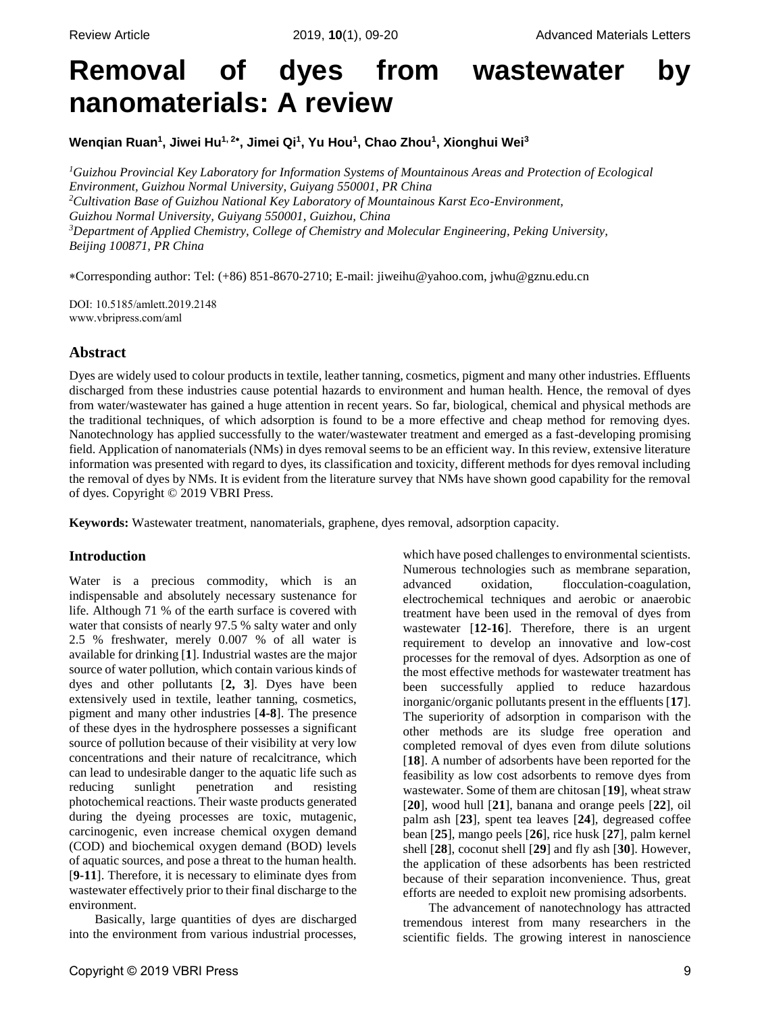# **Removal of dyes from wastewater by nanomaterials: A review**

**Wenqian Ruan<sup>1</sup> , Jiwei Hu1, <sup>2</sup> , Jimei Qi<sup>1</sup> , Yu Hou<sup>1</sup> , Chao Zhou<sup>1</sup> , Xionghui Wei<sup>3</sup>**

*<sup>1</sup>Guizhou Provincial Key Laboratory for Information Systems of Mountainous Areas and Protection of Ecological Environment, Guizhou Normal University, Guiyang 550001, PR China <sup>2</sup>Cultivation Base of Guizhou National Key Laboratory of Mountainous Karst Eco-Environment, Guizhou Normal University, Guiyang 550001, Guizhou, China <sup>3</sup>Department of Applied Chemistry, College of Chemistry and Molecular Engineering, Peking University, Beijing 100871, PR China*

Corresponding author: Tel: (+86) 851-8670-2710; E-mail[: jiweihu@yahoo.com,](mailto:jiweihu@yahoo.com) jwhu@gznu.edu.cn

DOI: 10.5185/amlett.2019.2148 www.vbripress.com/aml

# **Abstract**

Dyes are widely used to colour products in textile, leather tanning, cosmetics, pigment and many other industries. Effluents discharged from these industries cause potential hazards to environment and human health. Hence, the removal of dyes from water/wastewater has gained a huge attention in recent years. So far, biological, chemical and physical methods are the traditional techniques, of which adsorption is found to be a more effective and cheap method for removing dyes. Nanotechnology has applied successfully to the water/wastewater treatment and emerged as a fast-developing promising field. Application of nanomaterials (NMs) in dyes removal seems to be an efficient way. In this review, extensive literature information was presented with regard to dyes, its classification and toxicity, different methods for dyes removal including the removal of dyes by NMs. It is evident from the literature survey that NMs have shown good capability for the removal of dyes. Copyright © 2019 VBRI Press.

**Keywords:** Wastewater treatment, nanomaterials, graphene, dyes removal, adsorption capacity.

# **Introduction**

Water is a precious commodity, which is an indispensable and absolutely necessary sustenance for life. Although 71 % of the earth surface is covered with water that consists of nearly 97.5 % salty water and only 2.5 % freshwater, merely 0.007 % of all water is available for drinking [**1**]. Industrial wastes are the major source of water pollution, which contain various kinds of dyes and other pollutants [**2, 3**]. Dyes have been extensively used in textile, leather tanning, cosmetics, pigment and many other industries [**4-8**]. The presence of these dyes in the hydrosphere possesses a significant source of pollution because of their visibility at very low concentrations and their nature of recalcitrance, which can lead to undesirable danger to the aquatic life such as reducing sunlight penetration and resisting photochemical reactions. Their waste products generated during the dyeing processes are toxic, mutagenic, carcinogenic, even increase chemical oxygen demand (COD) and biochemical oxygen demand (BOD) levels of aquatic sources, and pose a threat to the human health. [**9-11**]. Therefore, it is necessary to eliminate dyes from wastewater effectively prior to their final discharge to the environment.

Basically, large quantities of dyes are discharged into the environment from various industrial processes,

Copyright © 2019 VBRI Press 9

which have posed challenges to environmental scientists. Numerous technologies such as membrane separation, advanced oxidation, flocculation-coagulation, electrochemical techniques and aerobic or anaerobic treatment have been used in the removal of dyes from wastewater [**12-16**]. Therefore, there is an urgent requirement to develop an innovative and low-cost processes for the removal of dyes. Adsorption as one of the most effective methods for wastewater treatment has been successfully applied to reduce hazardous inorganic/organic pollutants present in the effluents [**17**]. The superiority of adsorption in comparison with the other methods are its sludge free operation and completed removal of dyes even from dilute solutions [**18**]. A number of adsorbents have been reported for the feasibility as low cost adsorbents to remove dyes from wastewater. Some of them are chitosan [**19**], wheat straw [**20**], wood hull [**21**], banana and orange peels [**22**], oil palm ash [**23**], spent tea leaves [**24**], degreased coffee bean [**25**], mango peels [**26**], rice husk [**27**], palm kernel shell [**28**], coconut shell [**29**] and fly ash [**30**]. However, the application of these adsorbents has been restricted because of their separation inconvenience. Thus, great efforts are needed to exploit new promising adsorbents.

The advancement of nanotechnology has attracted tremendous interest from many researchers in the scientific fields. The growing interest in nanoscience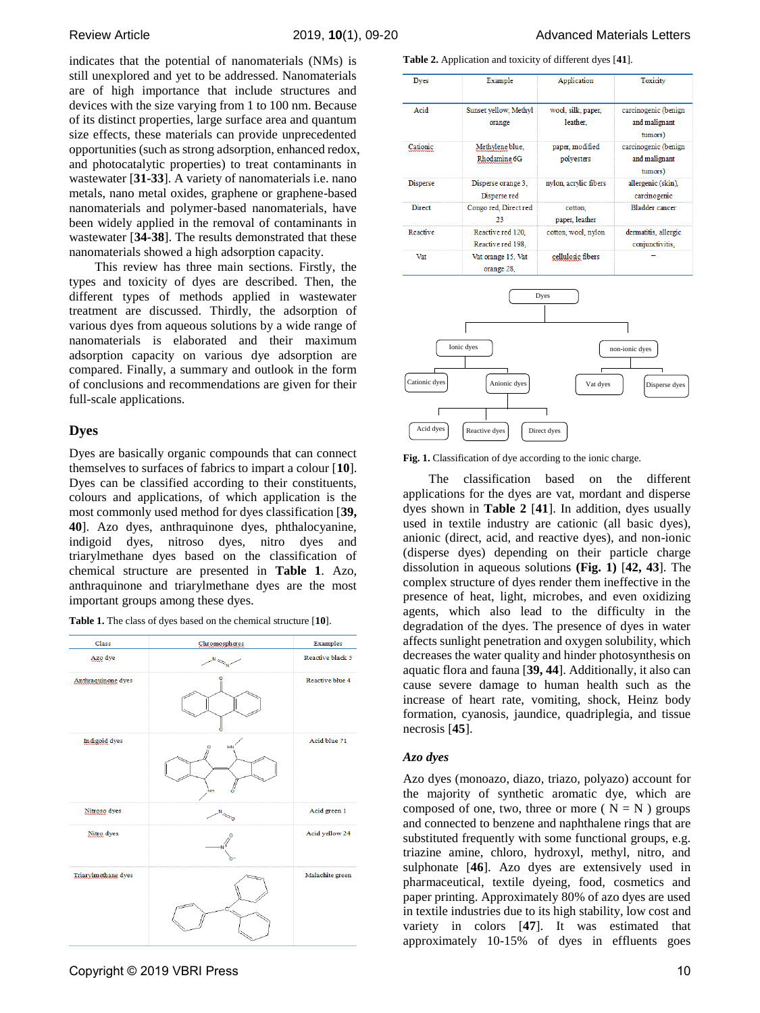indicates that the potential of nanomaterials (NMs) is still unexplored and yet to be addressed. Nanomaterials are of high importance that include structures and devices with the size varying from 1 to 100 nm. Because of its distinct properties, large surface area and quantum size effects, these materials can provide unprecedented opportunities (such as strong adsorption, enhanced redox, and photocatalytic properties) to treat contaminants in wastewater [**31-33**]. A variety of nanomaterials i.e. nano metals, nano metal oxides, graphene or graphene-based nanomaterials and polymer-based nanomaterials, have been widely applied in the removal of contaminants in wastewater [**34-38**]. The results demonstrated that these nanomaterials showed a high adsorption capacity.

This review has three main sections. Firstly, the types and toxicity of dyes are described. Then, the different types of methods applied in wastewater treatment are discussed. Thirdly, the adsorption of various dyes from aqueous solutions by a wide range of nanomaterials is elaborated and their maximum adsorption capacity on various dye adsorption are compared. Finally, a summary and outlook in the form of conclusions and recommendations are given for their full-scale applications.

## **Dyes**

Dyes are basically organic compounds that can connect themselves to surfaces of fabrics to impart a colour [**10**]. Dyes can be classified according to their constituents, colours and applications, of which application is the most commonly used method for dyes classification [**39, 40**]. Azo dyes, anthraquinone dyes, phthalocyanine, indigoid dyes, nitroso dyes, nitro dyes and triarylmethane dyes based on the classification of chemical structure are presented in **Table 1**. Azo, anthraquinone and triarylmethane dyes are the most important groups among these dyes.



**Table 2.** Application and toxicity of different dyes [**41**].

| <b>Dyes</b>     | Example                    | Application           | Toxicity                        |
|-----------------|----------------------------|-----------------------|---------------------------------|
| Acid            | Sunset yellow, Methyl      | wool, silk, paper,    | carcinogenic (benign            |
|                 | orange                     | leather.              | and malignant                   |
|                 |                            |                       | tumors)                         |
| Cationic        | Methylene blue,            | paper, modified       | carcinogenic (benign            |
|                 | Rhodamine 6G               | polyesters            | and malignant                   |
|                 |                            |                       | tumors)                         |
| <b>Disperse</b> | Disperse orange 3,         | nylon, acrylic fibers | allergenic (skin),              |
|                 | Disperse red               |                       | carcinogenic                    |
| <b>Direct</b>   | Congo red, Direct red      | cotton.               | Bladder cancer                  |
|                 | 23                         | paper, leather        |                                 |
| Reactive        | Reactive red 120.          | cotton, wool, nylon   | dermatitis, allergic            |
|                 | Reactive red 198.          |                       | conjunctivitis,                 |
| Vat             | Vat orange 15, Vat         | cellulosic fibers     |                                 |
|                 | orange 28,                 |                       |                                 |
| Cationic dyes   | Ionic dyes<br>Anionic dyes | Dyes<br>Vat dyes      | non-ionic dyes<br>Disperse dyes |
|                 |                            |                       |                                 |
| Acid dyes       | Reactive dyes              | Direct dyes           |                                 |



The classification based on the different applications for the dyes are vat, mordant and disperse dyes shown in **Table 2** [**41**]. In addition, dyes usually used in textile industry are cationic (all basic dyes), anionic (direct, acid, and reactive dyes), and non-ionic (disperse dyes) depending on their particle charge dissolution in aqueous solutions **(Fig. 1)** [**42, 43**]. The complex structure of dyes render them ineffective in the presence of heat, light, microbes, and even oxidizing agents, which also lead to the difficulty in the degradation of the dyes. The presence of dyes in water affects sunlight penetration and oxygen solubility, which decreases the water quality and hinder photosynthesis on aquatic flora and fauna [**39, 44**]. Additionally, it also can cause severe damage to human health such as the increase of heart rate, vomiting, shock, Heinz body formation, cyanosis, jaundice, quadriplegia, and tissue necrosis [**45**].

## *Azo dyes*

Azo dyes (monoazo, diazo, triazo, polyazo) account for the majority of synthetic aromatic dye, which are composed of one, two, three or more ( $N = N$ ) groups and connected to benzene and naphthalene rings that are substituted frequently with some functional groups, e.g. triazine amine, chloro, hydroxyl, methyl, nitro, and sulphonate [**46**]. Azo dyes are extensively used in pharmaceutical, textile dyeing, food, cosmetics and paper printing. Approximately 80% of azo dyes are used in textile industries due to its high stability, low cost and variety in colors [**47**]. It was estimated that approximately 10-15% of dyes in effluents goes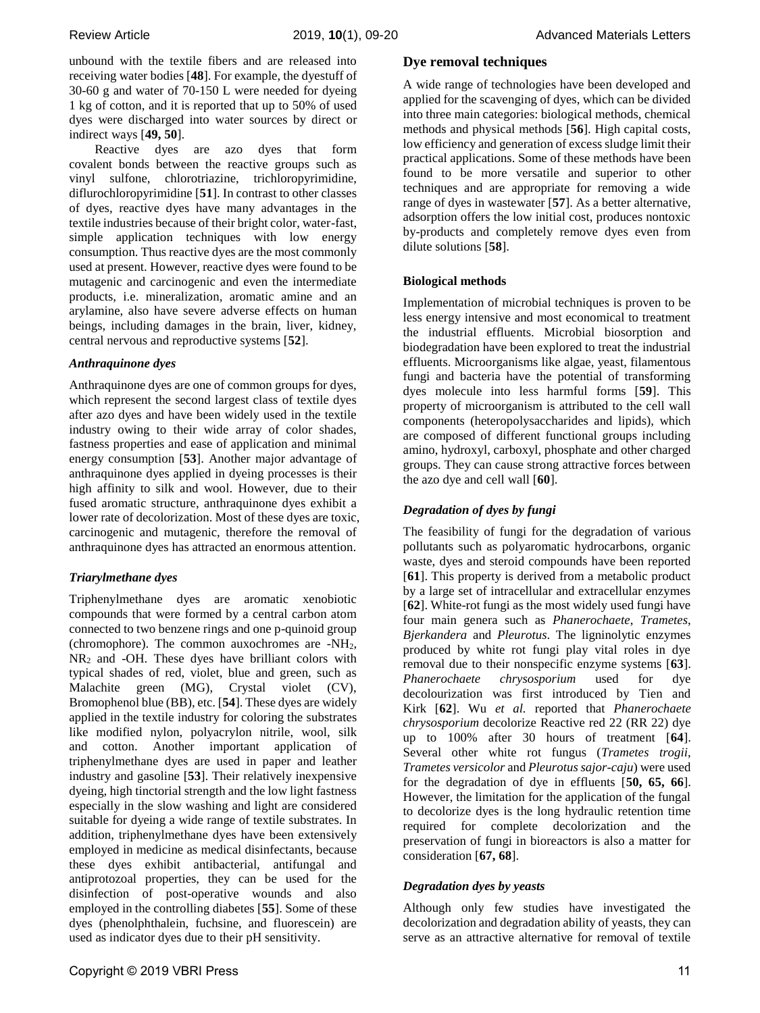unbound with the textile fibers and are released into receiving water bodies [**48**]. For example, the dyestuff of 30-60 g and water of 70-150 L were needed for dyeing 1 kg of cotton, and it is reported that up to 50% of used dyes were discharged into water sources by direct or indirect ways [**49, 50**].

Reactive dyes are azo dyes that form covalent bonds between the reactive groups such as vinyl sulfone, chlorotriazine, trichloropyrimidine, diflurochloropyrimidine [**51**]. In contrast to other classes of dyes, reactive dyes have many advantages in the textile industries because of their bright color, water-fast, simple application techniques with low energy consumption. Thus reactive dyes are the most commonly used at present. However, reactive dyes were found to be mutagenic and carcinogenic and even the intermediate products, i.e. mineralization, aromatic amine and an arylamine, also have severe adverse effects on human beings, including damages in the brain, liver, kidney, central nervous and reproductive systems [**52**].

## *Anthraquinone dyes*

Anthraquinone dyes are one of common groups for dyes, which represent the second largest class of textile dyes after azo dyes and have been widely used in the textile industry owing to their wide array of color shades, fastness properties and ease of application and minimal energy consumption [**53**]. Another major advantage of anthraquinone dyes applied in dyeing processes is their high affinity to silk and wool. However, due to their fused aromatic structure, anthraquinone dyes exhibit a lower rate of decolorization. Most of these dyes are toxic, carcinogenic and mutagenic, therefore the removal of anthraquinone dyes has attracted an enormous attention.

# *Triarylmethane dyes*

Triphenylmethane dyes are aromatic xenobiotic compounds that were formed by a central carbon atom connected to two benzene rings and one p-quinoid group (chromophore). The common auxochromes are -NH2,  $NR<sub>2</sub>$  and -OH. These dyes have brilliant colors with typical shades of red, violet, blue and green, such as Malachite green (MG), Crystal violet (CV), Bromophenol blue (BB), etc. [**54**]. These dyes are widely applied in the textile industry for coloring the substrates like modified nylon, polyacrylon nitrile, wool, silk and cotton. Another important application of triphenylmethane dyes are used in paper and leather industry and gasoline [**53**]. Their relatively inexpensive dyeing, high tinctorial strength and the low light fastness especially in the slow washing and light are considered suitable for dyeing a wide range of textile substrates. In addition, triphenylmethane dyes have been extensively employed in medicine as medical disinfectants, because these dyes exhibit antibacterial, antifungal and antiprotozoal properties, they can be used for the disinfection of post-operative wounds and also employed in the controlling diabetes [**55**]. Some of these dyes (phenolphthalein, fuchsine, and fluorescein) are used as indicator dyes due to their pH sensitivity.

## **Dye removal techniques**

A wide range of technologies have been developed and applied for the scavenging of dyes, which can be divided into three main categories: biological methods, chemical methods and physical methods [**56**]. High capital costs, low efficiency and generation of excess sludge limit their practical applications. Some of these methods have been found to be more versatile and superior to other techniques and are appropriate for removing a wide range of dyes in wastewater [**57**]. As a better alternative, adsorption offers the low initial cost, produces nontoxic by-products and completely remove dyes even from dilute solutions [**58**].

# **Biological methods**

Implementation of microbial techniques is proven to be less energy intensive and most economical to treatment the industrial effluents. Microbial biosorption and biodegradation have been explored to treat the industrial effluents. Microorganisms like algae, yeast, filamentous fungi and bacteria have the potential of transforming dyes molecule into less harmful forms [**59**]. This property of microorganism is attributed to the cell wall components (heteropolysaccharides and lipids), which are composed of different functional groups including amino, hydroxyl, carboxyl, phosphate and other charged groups. They can cause strong attractive forces between the azo dye and cell wall [**60**].

# *Degradation of dyes by fungi*

The feasibility of fungi for the degradation of various pollutants such as polyaromatic hydrocarbons, organic waste, dyes and steroid compounds have been reported [**61**]. This property is derived from a metabolic product by a large set of intracellular and extracellular enzymes [**62**]. White-rot fungi as the most widely used fungi have four main genera such as *Phanerochaete*, *Trametes*, *Bjerkandera* and *Pleurotus*. The ligninolytic enzymes produced by white rot fungi play vital roles in dye removal due to their nonspecific enzyme systems [**63**]. *Phanerochaete chrysosporium* used for dye decolourization was first introduced by Tien and Kirk [**62**]. Wu *et al.* reported that *Phanerochaete chrysosporium* decolorize Reactive red 22 (RR 22) dye up to 100% after 30 hours of treatment [**64**]. Several other white rot fungus (*Trametes trogii*, *Trametes versicolor* and *Pleurotus sajor-caju*) were used for the degradation of dye in effluents [**50, 65, 66**]. However, the limitation for the application of the fungal to decolorize dyes is the long hydraulic retention time required for complete decolorization and the preservation of fungi in bioreactors is also a matter for consideration [**67, 68**].

# *Degradation dyes by yeasts*

Although only few studies have investigated the decolorization and degradation ability of yeasts, they can serve as an attractive alternative for removal of textile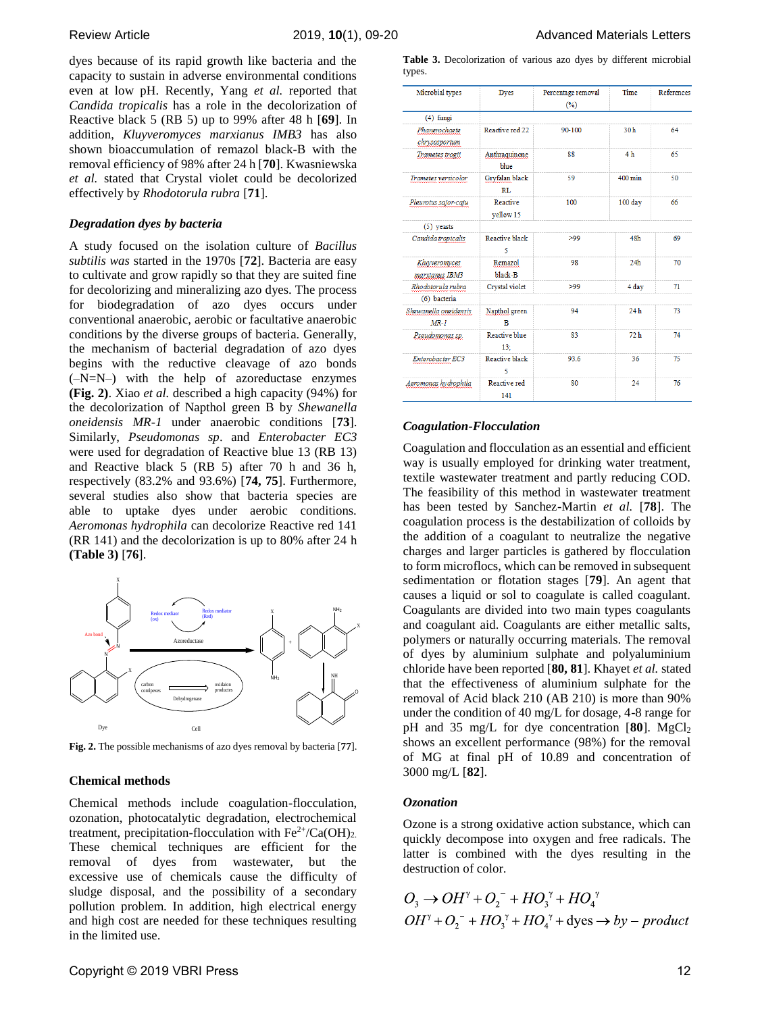dyes because of its rapid growth like bacteria and the capacity to sustain in adverse environmental conditions even at low pH. Recently, Yang *et al.* reported that *Candida tropicalis* has a role in the decolorization of Reactive black 5 (RB 5) up to 99% after 48 h [**69**]. In addition, *Kluyveromyces marxianus IMB3* has also shown bioaccumulation of remazol black-B with the removal efficiency of 98% after 24 h [**70**]. Kwasniewska *et al.* stated that Crystal violet could be decolorized effectively by *Rhodotorula rubra* [**71**].

#### *Degradation dyes by bacteria*

A study focused on the isolation culture of *Bacillus subtilis was* started in the 1970s [**72**]. Bacteria are easy to cultivate and grow rapidly so that they are suited fine for decolorizing and mineralizing azo dyes. The process for biodegradation of azo dyes occurs under conventional anaerobic, aerobic or facultative anaerobic conditions by the diverse groups of bacteria. Generally, the mechanism of bacterial degradation of azo dyes begins with the reductive cleavage of azo bonds (–N=N–) with the help of azoreductase enzymes **(Fig. 2)**. Xiao *et al.* described a high capacity (94%) for the decolorization of Napthol green B by *Shewanella oneidensis MR-1* under anaerobic conditions [**73**]. Similarly, *Pseudomonas sp*. and *Enterobacter EC3*  were used for degradation of Reactive blue 13 (RB 13) and Reactive black 5 (RB 5) after 70 h and 36 h, respectively (83.2% and 93.6%) [**74, 75**]. Furthermore, several studies also show that bacteria species are able to uptake dyes under aerobic conditions. *Aeromonas hydrophila* can decolorize Reactive red 141 (RR 141) and the decolorization is up to 80% after 24 h **(Table 3)** [**76**].



**Fig. 2.** The possible mechanisms of azo dyes removal by bacteria [**77**].

#### **Chemical methods**

Chemical methods include coagulation-flocculation, ozonation, photocatalytic degradation, electrochemical treatment, precipitation-flocculation with  $Fe^{2+}/Ca(OH)_{2}$ . These chemical techniques are efficient for the removal of dyes from wastewater, but the excessive use of chemicals cause the difficulty of sludge disposal, and the possibility of a secondary pollution problem. In addition, high electrical energy and high cost are needed for these techniques resulting in the limited use.

|        | Table 3. Decolorization of various azo dyes by different microbial |  |  |  |  |
|--------|--------------------------------------------------------------------|--|--|--|--|
| types. |                                                                    |  |  |  |  |

| Microbial types                   | <b>Dyes</b>                 | Percentage removal<br>(%) | Time              | References |
|-----------------------------------|-----------------------------|---------------------------|-------------------|------------|
| $(4)$ fungi                       |                             |                           |                   |            |
| Phanerochaete<br>chrysosporium    | Reactive red 22             | 90-100                    | 30 <sub>h</sub>   | 64         |
| Trametes trogii                   | Anthraquinone<br>blue       | 88                        | 4 <sub>h</sub>    | 65         |
| Trametes versicolor               | Gryfalan black<br>RL        | 59                        | $400 \text{ min}$ | 50         |
| Pleurotus sajor-caju              | Reactive<br>yellow 15       |                           | 100 day           | 66         |
| $(5)$ yeasts                      |                             |                           |                   |            |
| Candida tropicalis                | Reactive black<br>5         | >99                       | 48h               | 69         |
| Kluvveromvces<br>marxianus IBM3   | Remazol<br>black-B          | 98                        | 24 <sub>h</sub>   | 70         |
| Rhodotorula rubra<br>(6) bacteria | Crystal violet              | >99                       | 4 day             | 71         |
| Shewanella oneidensis<br>$MR-I$   | Napthol green<br>B          | 94                        | 24h               | 73         |
| Pseudomonas sp.                   | <b>Reactive blue</b><br>13: | 83                        | 72h               | 74         |
| Enterobacter EC3                  | Reactive black<br>5         | 93.6                      | 36                | 75         |
| Aeromonas hydrophila              | Reactive red<br>141         | 80                        | 24                | 76         |

#### *Coagulation-Flocculation*

Coagulation and flocculation as an essential and efficient way is usually employed for drinking water treatment, textile wastewater treatment and partly reducing COD. The feasibility of this method in wastewater treatment has been tested by Sanchez-Martin *et al.* [**78**]. The coagulation process is the destabilization of colloids by the addition of a coagulant to neutralize the negative charges and larger particles is gathered by flocculation to form microflocs, which can be removed in subsequent sedimentation or flotation stages [**79**]. An agent that causes a liquid or sol to coagulate is called coagulant. Coagulants are divided into two main types coagulants and coagulant aid. Coagulants are either metallic salts, polymers or naturally occurring materials. The removal of dyes by aluminium sulphate and polyaluminium chloride have been reported [**80, 81**]. Khayet *et al.* stated that the effectiveness of aluminium sulphate for the removal of Acid black 210 (AB 210) is more than 90% under the condition of 40 mg/L for dosage, 4-8 range for pH and 35 mg/L for dye concentration  $[80]$ . MgCl<sub>2</sub> shows an excellent performance (98%) for the removal of MG at final pH of 10.89 and concentration of 3000 mg/L [**82**].

#### *Ozonation*

Ozone is a strong oxidative action substance, which can quickly decompose into oxygen and free radicals. The latter is combined with the dyes resulting in the destruction of color.

$$
O_3 \rightarrow OH^{\gamma} + O_2^- + HO_3^{\gamma} + HO_4^{\gamma}
$$
  

$$
OH^{\gamma} + O_2^- + HO_3^{\gamma} + HO_4^{\gamma} + \text{dyes} \rightarrow by - product
$$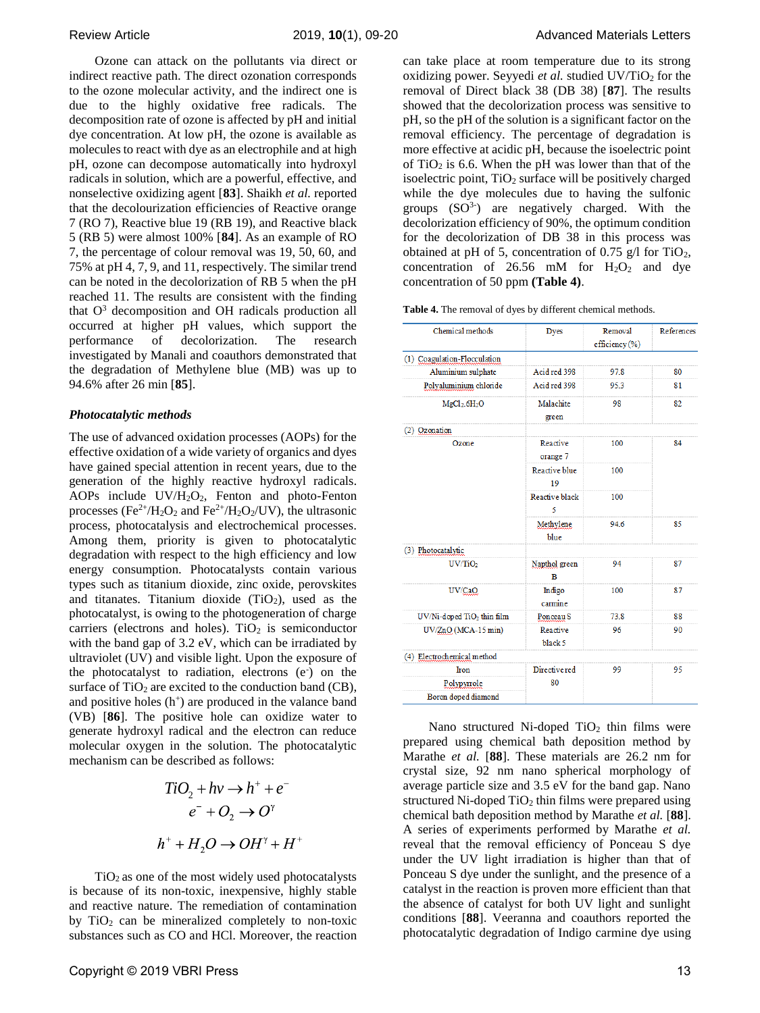Ozone can attack on the pollutants via direct or indirect reactive path. The direct ozonation corresponds to the ozone molecular activity, and the indirect one is due to the highly oxidative free radicals. The decomposition rate of ozone is affected by pH and initial dye concentration. At low pH, the ozone is available as molecules to react with dye as an electrophile and at high pH, ozone can decompose automatically into hydroxyl radicals in solution, which are a powerful, effective, and nonselective oxidizing agent [**83**]. Shaikh *et al.* reported that the decolourization efficiencies of Reactive orange 7 (RO 7), Reactive blue 19 (RB 19), and Reactive black 5 (RB 5) were almost 100% [**84**]. As an example of RO 7, the percentage of colour removal was 19, 50, 60, and 75% at pH 4, 7, 9, and 11, respectively. The similar trend can be noted in the decolorization of RB 5 when the pH reached 11. The results are consistent with the finding that  $O<sup>3</sup>$  decomposition and OH radicals production all occurred at higher pH values, which support the performance of decolorization. The research investigated by Manali and coauthors demonstrated that the degradation of Methylene blue (MB) was up to 94.6% after 26 min [**85**].

## *Photocatalytic methods*

The use of advanced oxidation processes (AOPs) for the effective oxidation of a wide variety of organics and dyes have gained special attention in recent years, due to the generation of the highly reactive hydroxyl radicals. AOPs include UV/H2O2, Fenton and photo-Fenton processes (Fe<sup>2+</sup>/H<sub>2</sub>O<sub>2</sub> and Fe<sup>2+</sup>/H<sub>2</sub>O<sub>2</sub>/UV), the ultrasonic process, photocatalysis and electrochemical processes. Among them, priority is given to photocatalytic degradation with respect to the high efficiency and low energy consumption. Photocatalysts contain various types such as titanium dioxide, zinc oxide, perovskites and titanates. Titanium dioxide  $(TiO<sub>2</sub>)$ , used as the photocatalyst, is owing to the photogeneration of charge carriers (electrons and holes).  $TiO<sub>2</sub>$  is semiconductor with the band gap of 3.2 eV, which can be irradiated by ultraviolet (UV) and visible light. Upon the exposure of the photocatalyst to radiation, electrons (e) on the surface of  $TiO<sub>2</sub>$  are excited to the conduction band (CB), and positive holes  $(h<sup>+</sup>)$  are produced in the valance band (VB) [**86**]. The positive hole can oxidize water to generate hydroxyl radical and the electron can reduce molecular oxygen in the solution. The photocatalytic mechanism can be described as follows:

$$
TiO2 + hv \rightarrow h+ + e-
$$

$$
e- + O2 \rightarrow O\gamma
$$

$$
h+ + H2O \rightarrow OH\gamma + H+
$$

 $TiO<sub>2</sub>$  as one of the most widely used photocatalysts is because of its non-toxic, inexpensive, highly stable and reactive nature. The remediation of contamination by  $TiO<sub>2</sub>$  can be mineralized completely to non-toxic substances such as CO and HCl. Moreover, the reaction can take place at room temperature due to its strong oxidizing power. Seyyedi et al. studied UV/TiO<sub>2</sub> for the removal of Direct black 38 (DB 38) [**87**]. The results showed that the decolorization process was sensitive to pH, so the pH of the solution is a significant factor on the removal efficiency. The percentage of degradation is more effective at acidic pH, because the isoelectric point of  $TiO<sub>2</sub>$  is 6.6. When the pH was lower than that of the isoelectric point,  $TiO<sub>2</sub>$  surface will be positively charged while the dye molecules due to having the sulfonic groups  $(SO<sup>3-</sup>)$  are negatively charged. With the decolorization efficiency of 90%, the optimum condition for the decolorization of DB 38 in this process was obtained at pH of 5, concentration of 0.75  $g/l$  for TiO<sub>2</sub>, concentration of 26.56 mM for  $H_2O_2$  and dye concentration of 50 ppm **(Table 4)**.

**Table 4.** The removal of dyes by different chemical methods.

| Chemical methods                       | <b>Dyes</b>          | Removal        | References |  |
|----------------------------------------|----------------------|----------------|------------|--|
|                                        |                      | efficiency (%) |            |  |
| (1) Coagulation-Flocculation           |                      |                |            |  |
| Aluminium sulphate                     | Acid red 398         | 97.8           | 80         |  |
| Polyaluminium chloride                 | Acid red 398         | 95.3           | 81         |  |
| MgCl <sub>2</sub> .6H <sub>2</sub> O   | Malachite<br>green   | 98             | 82         |  |
| (2) Ozonation                          |                      |                |            |  |
| Ozone                                  | Reactive<br>orange 7 | 100            | 84         |  |
|                                        | Reactive blue<br>19  | 100            |            |  |
|                                        | Reactive black<br>5  | 100            |            |  |
|                                        | Methylene<br>blue    | 94.6           | 85         |  |
| (3) Photocatalytic                     |                      |                |            |  |
| UV/TiO <sub>2</sub>                    | Napthol green<br>B   | 94             | 87         |  |
| UV/CaO                                 | Indigo<br>carmine    | 100            | 87         |  |
| UV/Ni-doped TiO <sub>2</sub> thin film | Ponceau <sub>S</sub> | 73.8           | 88         |  |
| UV/ZnO (MCA-15 min)                    | Reactive<br>black 5  | 96             | 90         |  |
| (4) Electrochemical method             |                      |                |            |  |
| Iron                                   | Directive red        | 99             | 95         |  |
| Polypyrrole                            | 80                   |                |            |  |
| Boron doped diamond                    |                      |                |            |  |

Nano structured Ni-doped  $TiO<sub>2</sub>$  thin films were prepared using chemical bath deposition method by Marathe *et al.* [**88**]. These materials are 26.2 nm for crystal size, 92 nm nano spherical morphology of average particle size and 3.5 eV for the band gap. Nano structured Ni-doped  $TiO<sub>2</sub>$  thin films were prepared using chemical bath deposition method by Marathe *et al.* [**88**]. A series of experiments performed by Marathe *et al.*  reveal that the removal efficiency of Ponceau S dye under the UV light irradiation is higher than that of Ponceau S dye under the sunlight, and the presence of a catalyst in the reaction is proven more efficient than that the absence of catalyst for both UV light and sunlight conditions [**88**]. Veeranna and coauthors reported the photocatalytic degradation of Indigo carmine dye using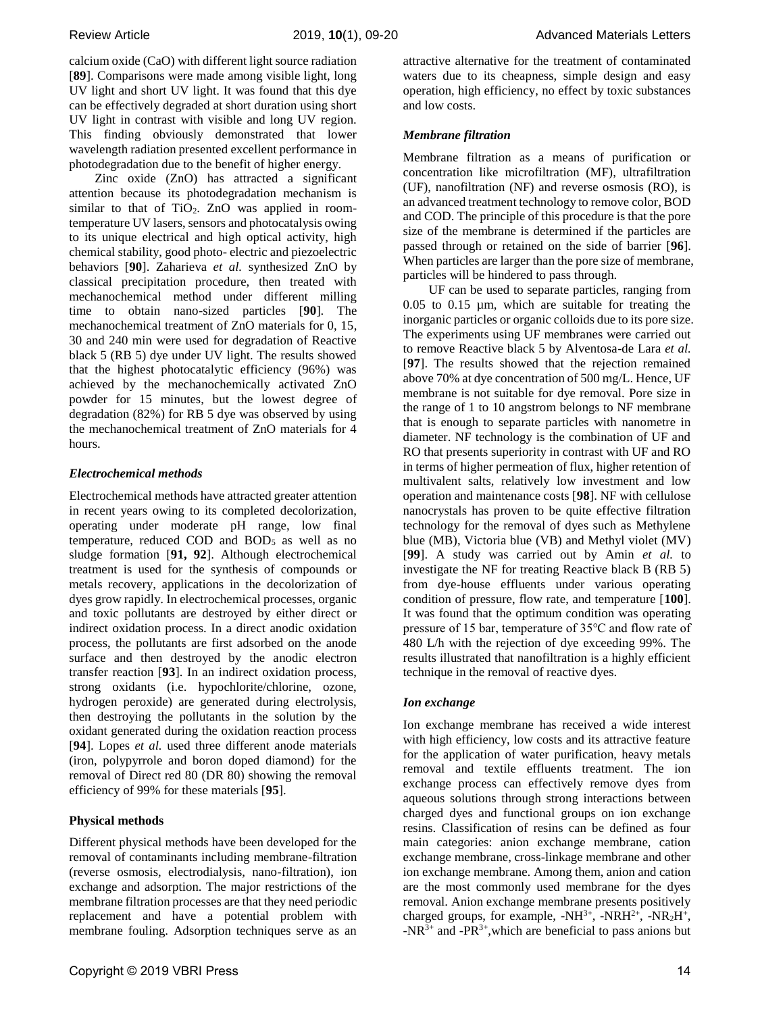calcium oxide (CaO) with different light source radiation [**89**]. Comparisons were made among visible light, long UV light and short UV light. It was found that this dye can be effectively degraded at short duration using short UV light in contrast with visible and long UV region. This finding obviously demonstrated that lower wavelength radiation presented excellent performance in photodegradation due to the benefit of higher energy.

Zinc oxide (ZnO) has attracted a significant attention because its photodegradation mechanism is similar to that of TiO<sub>2</sub>. ZnO was applied in roomtemperature UV lasers, sensors and photocatalysis owing to its unique electrical and high optical activity, high chemical stability, good photo- electric and piezoelectric behaviors [**90**]. Zaharieva *et al.* synthesized ZnO by classical precipitation procedure, then treated with mechanochemical method under different milling time to obtain nano-sized particles [**90**]. The mechanochemical treatment of ZnO materials for 0, 15, 30 and 240 min were used for degradation of Reactive black 5 (RB 5) dye under UV light. The results showed that the highest photocatalytic efficiency (96%) was achieved by the mechanochemically activated ZnO powder for 15 minutes, but the lowest degree of degradation (82%) for RB 5 dye was observed by using the mechanochemical treatment of ZnO materials for 4 hours.

## *Electrochemical methods*

Electrochemical methods have attracted greater attention in recent years owing to its completed decolorization, operating under moderate pH range, low final temperature, reduced COD and BOD<sub>5</sub> as well as no sludge formation [**91, 92**]. Although electrochemical treatment is used for the synthesis of compounds or metals recovery, applications in the decolorization of dyes grow rapidly. In electrochemical processes, organic and toxic pollutants are destroyed by either direct or indirect oxidation process. In a direct anodic oxidation process, the pollutants are first adsorbed on the anode surface and then destroyed by the anodic electron transfer reaction [**93**]. In an indirect oxidation process, strong oxidants (i.e. hypochlorite/chlorine, ozone, hydrogen peroxide) are generated during electrolysis, then destroying the pollutants in the solution by the oxidant generated during the oxidation reaction process [**94**]. Lopes *et al.* used three different anode materials (iron, polypyrrole and boron doped diamond) for the removal of Direct red 80 (DR 80) showing the removal efficiency of 99% for these materials [**95**].

## **Physical methods**

Different physical methods have been developed for the removal of contaminants including membrane-filtration (reverse osmosis, electrodialysis, nano-filtration), ion exchange and adsorption. The major restrictions of the membrane filtration processes are that they need periodic replacement and have a potential problem with membrane fouling. Adsorption techniques serve as an

attractive alternative for the treatment of contaminated waters due to its cheapness, simple design and easy operation, high efficiency, no effect by toxic substances and low costs.

## *Membrane filtration*

Membrane filtration as a means of purification or concentration like microfiltration (MF), ultrafiltration (UF), nanofiltration (NF) and reverse osmosis (RO), is an advanced treatment technology to remove color, BOD and COD. The principle of this procedure is that the pore size of the membrane is determined if the particles are passed through or retained on the side of barrier [**96**]. When particles are larger than the pore size of membrane, particles will be hindered to pass through.

UF can be used to separate particles, ranging from 0.05 to 0.15 µm, which are suitable for treating the inorganic particles or organic colloids due to its pore size. The experiments using UF membranes were carried out to remove Reactive black 5 by Alventosa-de Lara *et al.*  [**97**]. The results showed that the rejection remained above 70% at dye concentration of 500 mg/L. Hence, UF membrane is not suitable for dye removal. Pore size in the range of 1 to 10 angstrom belongs to NF membrane that is enough to separate particles with nanometre in diameter. NF technology is the combination of UF and RO that presents superiority in contrast with UF and RO in terms of higher permeation of flux, higher retention of multivalent salts, relatively low investment and low operation and maintenance costs [**98**]. NF with cellulose nanocrystals has proven to be quite effective filtration technology for the removal of dyes such as Methylene blue (MB), Victoria blue (VB) and Methyl violet (MV) [**99**]. A study was carried out by Amin *et al.* to investigate the NF for treating Reactive black B (RB 5) from dye-house effluents under various operating condition of pressure, flow rate, and temperature [**100**]. It was found that the optimum condition was operating pressure of 15 bar, temperature of 35℃ and flow rate of 480 L/h with the rejection of dye exceeding 99%. The results illustrated that nanofiltration is a highly efficient technique in the removal of reactive dyes.

# *Ion exchange*

Ion exchange membrane has received a wide interest with high efficiency, low costs and its attractive feature for the application of water purification, heavy metals removal and textile effluents treatment. The ion exchange process can effectively remove dyes from aqueous solutions through strong interactions between charged dyes and functional groups on ion exchange resins. Classification of resins can be defined as four main categories: anion exchange membrane, cation exchange membrane, cross-linkage membrane and other ion exchange membrane. Among them, anion and cation are the most commonly used membrane for the dyes removal. Anion exchange membrane presents positively charged groups, for example,  $-NH^{3+}$ ,  $-NRH^{2+}$ ,  $-NR_2H^{+}$ ,  $-NR^{3+}$  and  $-PR^{3+}$ , which are beneficial to pass anions but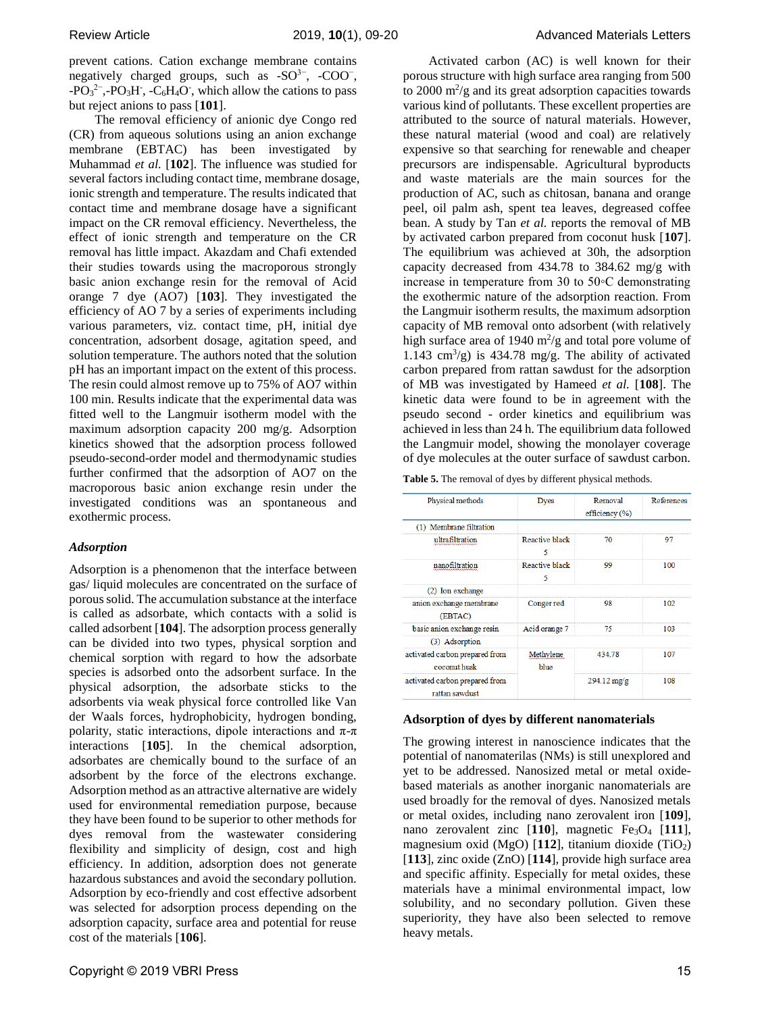prevent cations. Cation exchange membrane contains negatively charged groups, such as  $-SO<sup>3-</sup>$ ,  $-COO<sup>-</sup>$ ,  $-PO<sub>3</sub><sup>2</sup>$ , -PO<sub>3</sub>H, -C<sub>6</sub>H<sub>4</sub>O, which allow the cations to pass but reject anions to pass [**101**].

The removal efficiency of anionic dye Congo red (CR) from aqueous solutions using an anion exchange membrane (EBTAC) has been investigated by Muhammad *et al.* [**102**]. The influence was studied for several factors including contact time, membrane dosage, ionic strength and temperature. The results indicated that contact time and membrane dosage have a significant impact on the CR removal efficiency. Nevertheless, the effect of ionic strength and temperature on the CR removal has little impact. Akazdam and Chafi extended their studies towards using the macroporous strongly basic anion exchange resin for the removal of Acid orange 7 dye (AO7) [**103**]. They investigated the efficiency of AO 7 by a series of experiments including various parameters, viz. contact time, pH, initial dye concentration, adsorbent dosage, agitation speed, and solution temperature. The authors noted that the solution pH has an important impact on the extent of this process. The resin could almost remove up to 75% of AO7 within 100 min. Results indicate that the experimental data was fitted well to the Langmuir isotherm model with the maximum adsorption capacity 200 mg/g. Adsorption kinetics showed that the adsorption process followed pseudo-second-order model and thermodynamic studies further confirmed that the adsorption of AO7 on the macroporous basic anion exchange resin under the investigated conditions was an spontaneous and exothermic process.

## *Adsorption*

Adsorption is a phenomenon that the interface between gas/ liquid molecules are concentrated on the surface of porous solid. The accumulation substance at the interface is called as adsorbate, which contacts with a solid is called adsorbent [**104**]. The adsorption process generally can be divided into two types, physical sorption and chemical sorption with regard to how the adsorbate species is adsorbed onto the adsorbent surface. In the physical adsorption, the adsorbate sticks to the adsorbents via weak physical force controlled like Van der Waals forces, hydrophobicity, hydrogen bonding, polarity, static interactions, dipole interactions and  $\pi$ - $\pi$ interactions [**105**]. In the chemical adsorption, adsorbates are chemically bound to the surface of an adsorbent by the force of the electrons exchange. Adsorption method as an attractive alternative are widely used for environmental remediation purpose, because they have been found to be superior to other methods for dyes removal from the wastewater considering flexibility and simplicity of design, cost and high efficiency. In addition, adsorption does not generate hazardous substances and avoid the secondary pollution. Adsorption by eco-friendly and cost effective adsorbent was selected for adsorption process depending on the adsorption capacity, surface area and potential for reuse cost of the materials [**106**].

Activated carbon (AC) is well known for their porous structure with high surface area ranging from 500 to  $2000 \text{ m}^2/\text{g}$  and its great adsorption capacities towards various kind of pollutants. These excellent properties are attributed to the source of natural materials. However, these natural material (wood and coal) are relatively expensive so that searching for renewable and cheaper precursors are indispensable. Agricultural byproducts and waste materials are the main sources for the production of AC, such as chitosan, banana and orange peel, oil palm ash, spent tea leaves, degreased coffee bean. A study by Tan *et al.* reports the removal of MB by activated carbon prepared from coconut husk [**107**]. The equilibrium was achieved at 30h, the adsorption capacity decreased from 434.78 to 384.62 mg/g with increase in temperature from 30 to 50◦C demonstrating the exothermic nature of the adsorption reaction. From the Langmuir isotherm results, the maximum adsorption capacity of MB removal onto adsorbent (with relatively high surface area of 1940  $\mathrm{m}^2/\mathrm{g}$  and total pore volume of 1.143  $\text{cm}^3/\text{g}$ ) is 434.78 mg/g. The ability of activated carbon prepared from rattan sawdust for the adsorption of MB was investigated by Hameed *et al.* [**108**]. The kinetic data were found to be in agreement with the pseudo second - order kinetics and equilibrium was achieved in less than 24 h. The equilibrium data followed the Langmuir model, showing the monolayer coverage of dye molecules at the outer surface of sawdust carbon.

**Table 5.** The removal of dyes by different physical methods.

| Physical methods                                 | <b>Dyes</b>         | Removal<br>efficiency $(\% )$ | References |
|--------------------------------------------------|---------------------|-------------------------------|------------|
| (1) Membrane filtration                          |                     |                               |            |
| ultrafiltration                                  | Reactive black<br>5 | 70                            | 97         |
| nanofiltration                                   | Reactive black<br>5 | 99                            | 100        |
| (2) Ion exchange                                 |                     |                               |            |
| anion exchange membrane<br>(EBTAC)               | Conger red          | 98                            | 102        |
| basic anion exchange resin                       | Acid orange 7       | 75                            | 103        |
| (3) Adsorption                                   |                     |                               |            |
| activated carbon prepared from<br>coconut husk   | Methylene<br>blue   | 434.78                        | 107        |
| activated carbon prepared from<br>rattan sawdust |                     | $294.12 \,\mathrm{mg/g}$      | 108        |

## **Adsorption of dyes by different nanomaterials**

The growing interest in nanoscience indicates that the potential of nanomaterilas (NMs) is still unexplored and yet to be addressed. Nanosized metal or metal oxidebased materials as another inorganic nanomaterials are used broadly for the removal of dyes. Nanosized metals or metal oxides, including nano zerovalent iron [**109**], nano zerovalent zinc [110], magnetic Fe<sub>3</sub>O<sub>4</sub> [111], magnesium oxid (MgO) [112], titanium dioxide (TiO<sub>2</sub>) [**113**], zinc oxide (ZnO) [**114**], provide high surface area and specific affinity. Especially for metal oxides, these materials have a minimal environmental impact, low solubility, and no secondary pollution. Given these superiority, they have also been selected to remove heavy metals.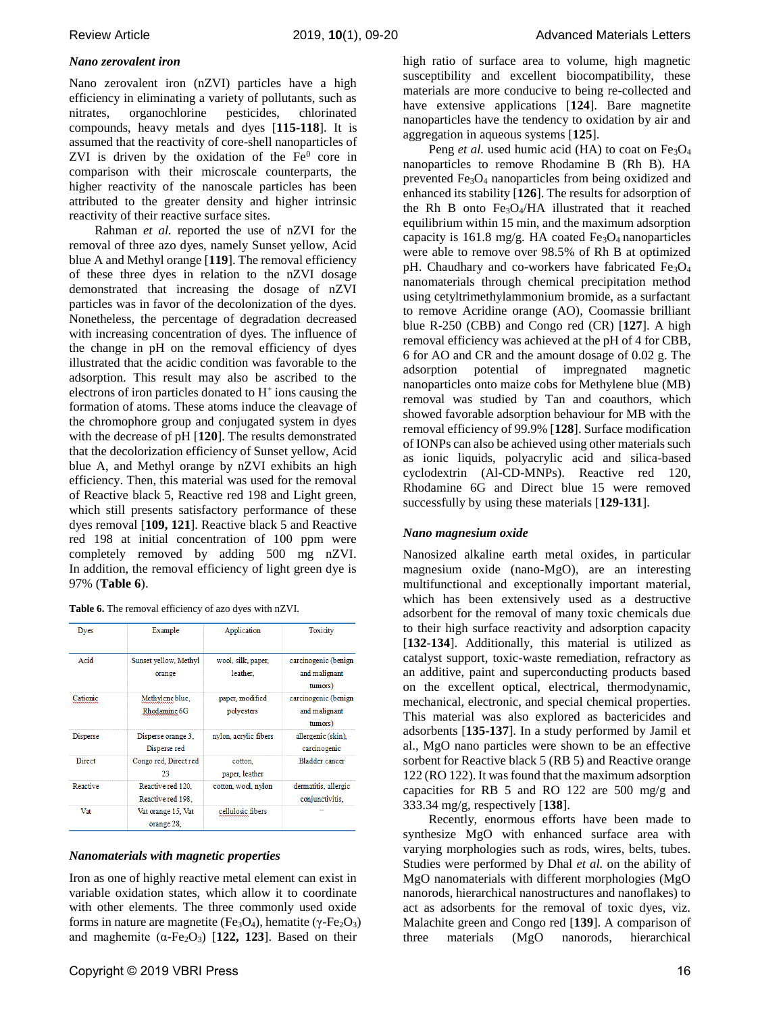## *Nano zerovalent iron*

Nano zerovalent iron (nZVI) particles have a high efficiency in eliminating a variety of pollutants, such as nitrates, organochlorine pesticides, chlorinated compounds, heavy metals and dyes [**115-118**]. It is assumed that the reactivity of core-shell nanoparticles of ZVI is driven by the oxidation of the  $Fe<sup>0</sup>$  core in comparison with their microscale counterparts, the higher reactivity of the nanoscale particles has been attributed to the greater density and higher intrinsic reactivity of their reactive surface sites.

Rahman *et al.* reported the use of nZVI for the removal of three azo dyes, namely Sunset yellow, Acid blue A and Methyl orange [**119**]. The removal efficiency of these three dyes in relation to the nZVI dosage demonstrated that increasing the dosage of nZVI particles was in favor of the decolonization of the dyes. Nonetheless, the percentage of degradation decreased with increasing concentration of dyes. The influence of the change in pH on the removal efficiency of dyes illustrated that the acidic condition was favorable to the adsorption. This result may also be ascribed to the electrons of iron particles donated to  $H^+$  ions causing the formation of atoms. These atoms induce the cleavage of the chromophore group and conjugated system in dyes with the decrease of pH [**120**]. The results demonstrated that the decolorization efficiency of Sunset yellow, Acid blue A, and Methyl orange by nZVI exhibits an high efficiency. Then, this material was used for the removal of Reactive black 5, Reactive red 198 and Light green, which still presents satisfactory performance of these dyes removal [**109, 121**]. Reactive black 5 and Reactive red 198 at initial concentration of 100 ppm were completely removed by adding 500 mg nZVI. In addition, the removal efficiency of light green dye is 97% (**Table 6**).

| <b>Table 6.</b> The removal efficiency of azo dyes with nZVI. |  |  |
|---------------------------------------------------------------|--|--|
|---------------------------------------------------------------|--|--|

| Dyes            | Example                                | Application                    | Toxicity                                         |
|-----------------|----------------------------------------|--------------------------------|--------------------------------------------------|
| Acid            | Sunset vellow, Methyl<br>orange        | wool, silk, paper,<br>leather. | carcinogenic (benign<br>and malignant<br>tumors) |
| Cationic        | Methylene blue.<br>Rhodamine 6G        | paper, modified<br>polyesters  | carcinogenic (benign<br>and malignant<br>tumors) |
| <b>Disperse</b> | Disperse orange 3.<br>Disperse red     | nylon, acrylic fibers          | allergenic (skin).<br>carcinogenic               |
| Direct          | Congo red, Direct red<br>23            | cotton.<br>paper, leather      | <b>Bladder</b> cancer                            |
| Reactive        | Reactive red 120.<br>Reactive red 198. | cotton, wool, nylon            | dermatitis, allergic<br>conjunctivitis,          |
| Vat             | Vat orange 15, Vat<br>orange 28.       | cellulosic fibers              |                                                  |

## *Nanomaterials with magnetic properties*

Iron as one of highly reactive metal element can exist in variable oxidation states, which allow it to coordinate with other elements. The three commonly used oxide forms in nature are magnetite (Fe<sub>3</sub>O<sub>4</sub>), hematite (γ-Fe<sub>2</sub>O<sub>3</sub>) and maghemite  $(\alpha$ -Fe<sub>2</sub>O<sub>3</sub>) [122, 123]. Based on their

high ratio of surface area to volume, high magnetic susceptibility and excellent biocompatibility, these materials are more conducive to being re-collected and have extensive applications [**124**]. Bare magnetite nanoparticles have the tendency to oxidation by air and aggregation in aqueous systems [**125**].

Peng *et al.* used humic acid (HA) to coat on Fe<sub>3</sub>O<sub>4</sub> nanoparticles to remove Rhodamine B (Rh B). HA prevented  $Fe<sub>3</sub>O<sub>4</sub>$  nanoparticles from being oxidized and enhanced its stability [**126**]. The results for adsorption of the Rh B onto Fe3O4/HA illustrated that it reached equilibrium within 15 min, and the maximum adsorption capacity is 161.8 mg/g. HA coated  $Fe<sub>3</sub>O<sub>4</sub>$  nanoparticles were able to remove over 98.5% of Rh B at optimized pH. Chaudhary and co-workers have fabricated Fe<sub>3</sub>O<sub>4</sub> nanomaterials through chemical precipitation method using cetyltrimethylammonium bromide, as a surfactant to remove Acridine orange (AO), Coomassie brilliant blue R-250 (CBB) and Congo red (CR) [**127**]. A high removal efficiency was achieved at the pH of 4 for CBB, 6 for AO and CR and the amount dosage of 0.02 g. The adsorption potential of impregnated magnetic nanoparticles onto maize cobs for Methylene blue (MB) removal was studied by Tan and coauthors, which showed favorable adsorption behaviour for MB with the removal efficiency of 99.9% [**128**]. Surface modification of IONPs can also be achieved using other materials such as ionic liquids, polyacrylic acid and silica-based cyclodextrin (Al-CD-MNPs). Reactive red 120, Rhodamine 6G and Direct blue 15 were removed successfully by using these materials [**129-131**].

## *Nano magnesium oxide*

Nanosized alkaline earth metal oxides, in particular magnesium oxide (nano-MgO), are an interesting multifunctional and exceptionally important material, which has been extensively used as a destructive adsorbent for the removal of many toxic chemicals due to their high surface reactivity and adsorption capacity [**132-134**]. Additionally, this material is utilized as catalyst support, toxic-waste remediation, refractory as an additive, paint and superconducting products based on the excellent optical, electrical, thermodynamic, mechanical, electronic, and special chemical properties. This material was also explored as bactericides and adsorbents [**135-137**]. In a study performed by Jamil et al., MgO nano particles were shown to be an effective sorbent for Reactive black 5 (RB 5) and Reactive orange 122 (RO 122). It was found that the maximum adsorption capacities for RB 5 and RO 122 are 500 mg/g and 333.34 mg/g, respectively [**138**].

Recently, enormous efforts have been made to synthesize MgO with enhanced surface area with varying morphologies such as rods, wires, belts, tubes. Studies were performed by Dhal *et al.* on the ability of MgO nanomaterials with different morphologies (MgO nanorods, hierarchical nanostructures and nanoflakes) to act as adsorbents for the removal of toxic dyes, viz. Malachite green and Congo red [**139**]. A comparison of three materials (MgO nanorods, hierarchical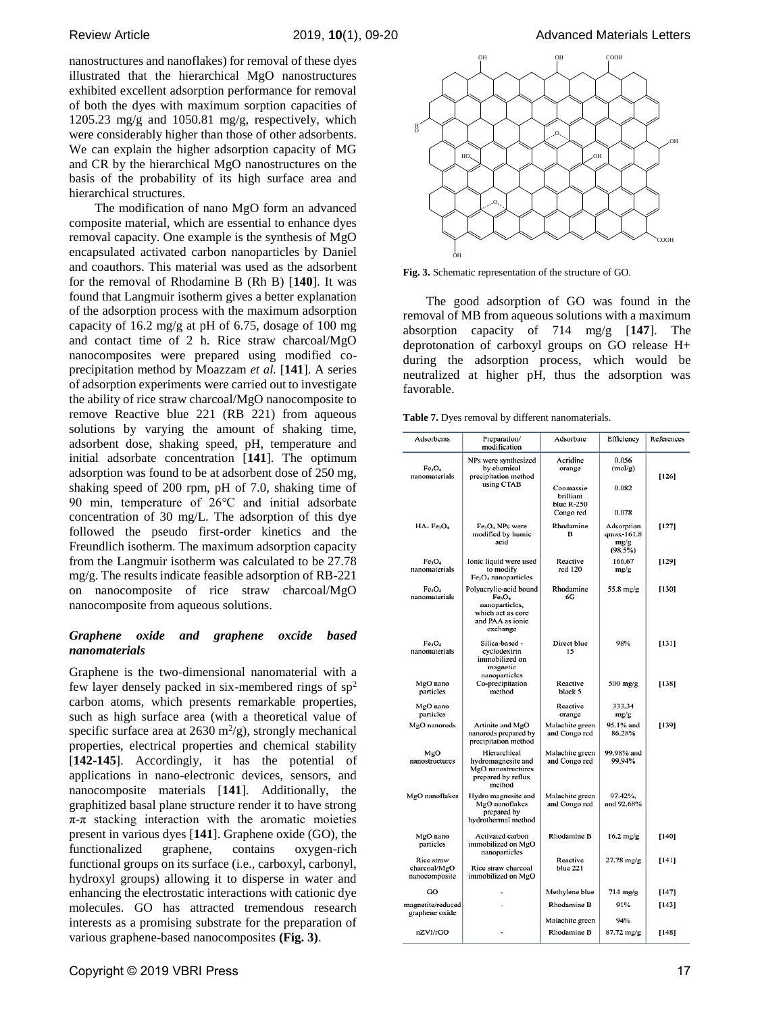nanostructures and nanoflakes) for removal of these dyes illustrated that the hierarchical MgO nanostructures exhibited excellent adsorption performance for removal of both the dyes with maximum sorption capacities of 1205.23 mg/g and 1050.81 mg/g, respectively, which were considerably higher than those of other adsorbents. We can explain the higher adsorption capacity of MG and CR by the hierarchical MgO nanostructures on the basis of the probability of its high surface area and hierarchical structures.

The modification of nano MgO form an advanced composite material, which are essential to enhance dyes removal capacity. One example is the synthesis of MgO encapsulated activated carbon nanoparticles by Daniel and coauthors. This material was used as the adsorbent for the removal of Rhodamine B (Rh B) [**140**]. It was found that Langmuir isotherm gives a better explanation of the adsorption process with the maximum adsorption capacity of 16.2 mg/g at pH of 6.75, dosage of 100 mg and contact time of 2 h. Rice straw charcoal/MgO nanocomposites were prepared using modified coprecipitation method by Moazzam *et al.* [**141**]. A series of adsorption experiments were carried out to investigate the ability of rice straw charcoal/MgO nanocomposite to remove Reactive blue 221 (RB 221) from aqueous solutions by varying the amount of shaking time, adsorbent dose, shaking speed, pH, temperature and initial adsorbate concentration [**141**]. The optimum adsorption was found to be at adsorbent dose of 250 mg, shaking speed of 200 rpm, pH of 7.0, shaking time of 90 min, temperature of 26℃ and initial adsorbate concentration of 30 mg/L. The adsorption of this dye followed the pseudo first-order kinetics and the Freundlich isotherm. The maximum adsorption capacity from the Langmuir isotherm was calculated to be 27.78 mg/g. The results indicate feasible adsorption of RB-221 on nanocomposite of rice straw charcoal/MgO nanocomposite from aqueous solutions.

## *Graphene oxide and graphene oxcide based nanomaterials*

Graphene is the two-dimensional nanomaterial with a few layer densely packed in six-membered rings of  $sp<sup>2</sup>$ carbon atoms, which presents remarkable properties, such as high surface area (with a theoretical value of specific surface area at  $2630 \text{ m}^2/\text{g}$ , strongly mechanical properties, electrical properties and chemical stability [142-145]. Accordingly, it has the potential of applications in nano-electronic devices, sensors, and nanocomposite materials [**141**]. Additionally, the graphitized basal plane structure render it to have strong  $\pi$ -π stacking interaction with the aromatic moieties present in various dyes [**141**]. Graphene oxide (GO), the functionalized graphene, contains oxygen-rich functional groups on its surface (i.e., carboxyl, carbonyl, hydroxyl groups) allowing it to disperse in water and enhancing the electrostatic interactions with cationic dye molecules. GO has attracted tremendous research interests as a promising substrate for the preparation of various graphene-based nanocomposites **(Fig. 3)**.



**Fig. 3.** Schematic representation of the structure of GO.

The good adsorption of GO was found in the removal of MB from aqueous solutions with a maximum absorption capacity of 714 mg/g [**147**]. The deprotonation of carboxyl groups on GO release H+ during the adsorption process, which would be neutralized at higher pH, thus the adsorption was favorable.

**Table 7.** Dyes removal by different nanomaterials.

| Adsorbents                                         | Preparation/<br>modification                                                                                                    | Adsorbate                                         | Efficiency                                  | References |
|----------------------------------------------------|---------------------------------------------------------------------------------------------------------------------------------|---------------------------------------------------|---------------------------------------------|------------|
| Fe <sub>3</sub> O <sub>4</sub><br>nanomaterials    | NPs were synthesized<br>by chemical<br>precipitation method<br>using CTAB                                                       | Acridine<br>orange                                | 0.056<br>(mol/g)                            | [126]      |
|                                                    |                                                                                                                                 | Coomassie<br>brilliant<br>blue R-250<br>Congo red | 0.082<br>0.078                              |            |
| $HA-Fe3O4$                                         | Fe <sub>1</sub> O <sub>4</sub> NPs were<br>modified by humic<br>acid                                                            | Rhodamine<br>в                                    | Adsorption<br>qmax-161.8<br>mg/g<br>(98.5%) | $[127]$    |
| Fe <sub>3</sub> O <sub>4</sub><br>nanomaterials    | Ionic liquid were used<br>to modify<br>$Fe3O4$ nanoparticles                                                                    | Reactive<br>red 120                               | 166.67<br>mg/g                              | [129]      |
| Fe <sub>3</sub> O <sub>4</sub><br>nanomaterials    | Polyacrylic-acid bound<br>Fe <sub>3</sub> O <sub>4</sub><br>nanoparticles,<br>which act as core<br>and PAA as ionic<br>exchange | Rhodamine<br>6G                                   | 55.8 mg/g                                   | [130]      |
| Fe <sub>1</sub> O <sub>4</sub><br>nanomaterials    | Silica-based -<br>cyclodextrin<br>immobilized on<br>magnetic<br>nanoparticles                                                   | Direct blue<br>15                                 | 98%                                         | [131]      |
| MgO nano<br>particles                              | Co-precipitation<br>method                                                                                                      | Reactive<br>black 5                               | $500$ mg/g                                  | [138]      |
| MgO nano<br>particles                              |                                                                                                                                 | Reactive<br>orange                                | 333.34<br>mg/g                              |            |
| MgO nanorods                                       | Artinite and MgO<br>nanorods prepared by<br>precipitation method                                                                | Malachite green<br>and Congo red                  | 95.1% and<br>86.28%                         | [139]      |
| MgO<br>nanostructures                              | Hierarchical<br>hydromagnesite and<br>MgO nanostructures<br>prepared by reflux<br>method                                        | Malachite green<br>and Congo red                  | 99.98% and<br>99.94%                        |            |
| MgO nanoflakes                                     | Hydro magnesite and<br>MgO nanoflakes<br>prepared by<br>hydrothermal method                                                     | Malachite green<br>and Congo red                  | 97.42%.<br>and 92.68%                       |            |
| MgO nano<br>particles                              | Activated carbon<br>immobilized on MgO<br>nanoparticles                                                                         | <b>Rhodamine B</b>                                | $16.2$ mg/g                                 | $[140]$    |
| <b>Rice straw</b><br>charcoal/MgO<br>nanocomposite | Rice straw charcoal<br>immobilized on MgO                                                                                       | Reactive<br>blue 221                              | $27.78 \text{ m}$ g/g                       | [141]      |
| GO                                                 |                                                                                                                                 | Methylene blue                                    | $714$ mg/g                                  | [147]      |
| magnetite/reduced                                  |                                                                                                                                 | Rhodamine B                                       | 91%                                         | [143]      |
| graphene oxide                                     |                                                                                                                                 | Malachite green                                   | 94%                                         |            |
| nZVI/rGO                                           |                                                                                                                                 | Rhodamine B                                       | 87.72 mg/g                                  | [148]      |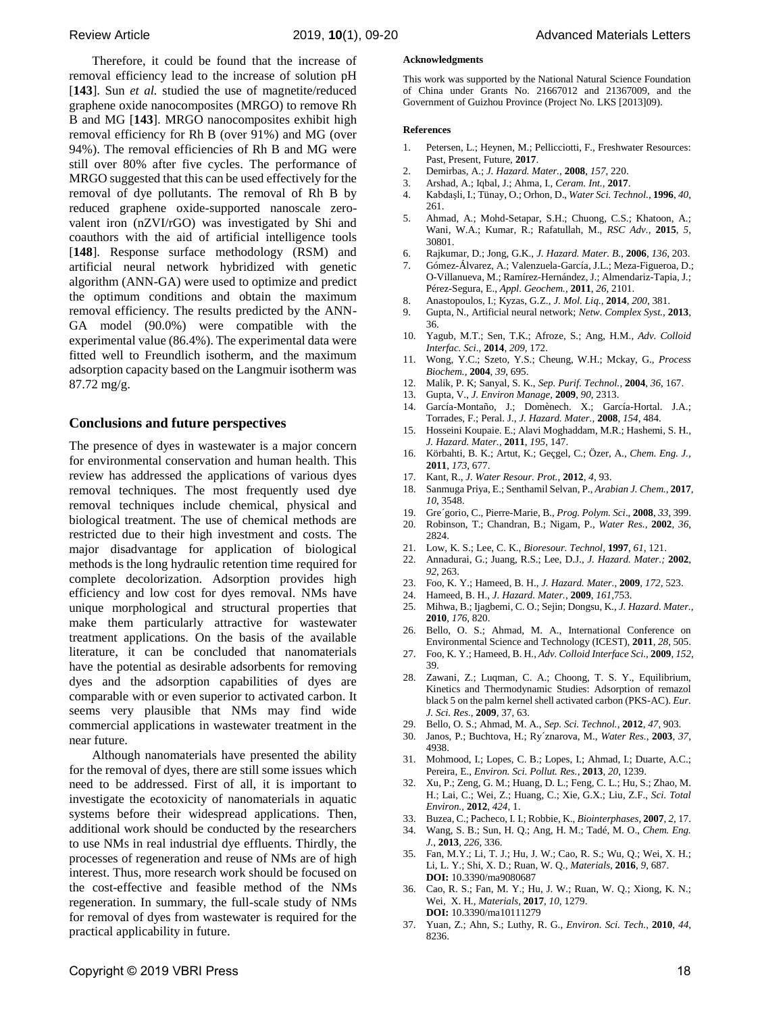Therefore, it could be found that the increase of removal efficiency lead to the increase of solution pH [**143**]. Sun *et al.* studied the use of magnetite/reduced graphene oxide nanocomposites (MRGO) to remove Rh B and MG [**143**]. MRGO nanocomposites exhibit high removal efficiency for Rh B (over 91%) and MG (over 94%). The removal efficiencies of Rh B and MG were still over 80% after five cycles. The performance of MRGO suggested that this can be used effectively for the removal of dye pollutants. The removal of Rh B by reduced graphene oxide-supported nanoscale zerovalent iron (nZVI/rGO) was investigated by Shi and coauthors with the aid of artificial intelligence tools [**148**]. Response surface methodology (RSM) and artificial neural network hybridized with genetic algorithm (ANN-GA) were used to optimize and predict the optimum conditions and obtain the maximum removal efficiency. The results predicted by the ANN-GA model (90.0%) were compatible with the experimental value (86.4%). The experimental data were fitted well to Freundlich isotherm, and the maximum adsorption capacity based on the Langmuir isotherm was 87.72 mg/g.

## **Conclusions and future perspectives**

The presence of dyes in wastewater is a major concern for environmental conservation and human health. This review has addressed the applications of various dyes removal techniques. The most frequently used dye removal techniques include chemical, physical and biological treatment. The use of chemical methods are restricted due to their high investment and costs. The major disadvantage for application of biological methods is the long hydraulic retention time required for complete decolorization. Adsorption provides high efficiency and low cost for dyes removal. NMs have unique morphological and structural properties that make them particularly attractive for wastewater treatment applications. On the basis of the available literature, it can be concluded that nanomaterials have the potential as desirable adsorbents for removing dyes and the adsorption capabilities of dyes are comparable with or even superior to activated carbon. It seems very plausible that NMs may find wide commercial applications in wastewater treatment in the near future.

Although nanomaterials have presented the ability for the removal of dyes, there are still some issues which need to be addressed. First of all, it is important to investigate the ecotoxicity of nanomaterials in aquatic systems before their widespread applications. Then, additional work should be conducted by the researchers to use NMs in real industrial dye effluents. Thirdly, the processes of regeneration and reuse of NMs are of high interest. Thus, more research work should be focused on the cost-effective and feasible method of the NMs regeneration. In summary, the full-scale study of NMs for removal of dyes from wastewater is required for the practical applicability in future.

This work was supported by the National Natural Science Foundation of China under Grants No. 21667012 and 21367009, and the Government of Guizhou Province (Project No. LKS [2013]09).

#### **References**

- 1. Petersen, L.; Heynen, M.; Pellicciotti, F., Freshwater Resources: Past, Present, Future, **2017**.
- 2. Demirbas, A.; *J. Hazard. Mater.,* **2008**, *157*, 220.
- 3. Arshad, A.; Iqbal, J.; Ahma, I., *Ceram. Int.,* **2017**.
- 4. Kabdaşli, I.; Tünay, O.; Orhon, D., *Water Sci. Technol.,* **1996**, *40*, 261.
- 5. Ahmad, A.; Mohd-Setapar, S.H.; Chuong, C.S.; Khatoon, A.; Wani, W.A.; Kumar, R.; Rafatullah, M., *RSC Adv.,* **2015**, *5*, 30801.
- 6. Rajkumar, D.; Jong, G.K., *J. Hazard. Mater. B.,* **2006**, *136*, 203.
- 7. Gómez-Álvarez, A.; Valenzuela-García, J.L.; Meza-Figueroa, D.; O-Villanueva, M.; Ramírez-Hernández, J.; Almendariz-Tapia, J.; Pérez-Segura, E., *Appl. Geochem.,* **2011**, *26*, 2101.
- 8. Anastopoulos, I.; Kyzas, G.Z., *J. Mol. Liq.,* **2014**, *200*, 381.
- 9. Gupta, N., Artificial neural network; *Netw. Complex Syst.,* **2013**, 36.
- 10. Yagub, M.T.; Sen, T.K.; Afroze, S.; Ang, H.M., *Adv. Colloid Interfac. Sci.,* **2014**, *209*, 172.
- 11. Wong, [Y.C.; S](http://xueshu.baidu.com/s?wd=author:(Y.C.%20Wong)%20Institute%20of%20Textiles%20and%20Clothing,%20Hong%20Kong%20Polytechnic%20University,%20Hung%20Hom,%20Kowloon,%20Hong%20Kong&tn=SE_baiduxueshu_c1gjeupa&ie=utf-8&sc_f_para=sc_hilight=person)zeto, [Y.S.;](http://xueshu.baidu.com/s?wd=author:(Y.S.%20Szeto)%20Institute%20of%20Textiles%20and%20Clothing,%20Hong%20Kong%20Polytechnic%20University,%20Hung%20Hom,%20Kowloon,%20Hong%20Kong&tn=SE_baiduxueshu_c1gjeupa&ie=utf-8&sc_f_para=sc_hilight=person) Cheung, [W.H.;](http://xueshu.baidu.com/s?wd=author:(W.H.%20Cheung)%20Department%20of%20Chemical%20Engineering,%20Hong%20Kong%20University%20of%20Science%20and%20Technology,%20Clear%20Water%20Bay,%20Kowloon,%20Hong%20Kong&tn=SE_baiduxueshu_c1gjeupa&ie=utf-8&sc_f_para=sc_hilight=person) Mckay, [G.,](http://xueshu.baidu.com/s?wd=author:(G.%20McKay)%20Department%20of%20Chemical%20Engineering,%20Hong%20Kong%20University%20of%20Science%20and%20Technology,%20Clear%20Water%20Bay,%20Kowloon,%20Hong%20Kong&tn=SE_baiduxueshu_c1gjeupa&ie=utf-8&sc_f_para=sc_hilight=person) *Process Biochem.,* **2004**, *39*, 695.
- 12. Malik, P. K; Sanyal, S. K., *Sep. Purif. Technol.,* **2004**, *36*, 167.
- 13. Gupta, V., *J. Environ Manage,* **2009**, *90*, 2313.
- 14. García-Montaño, J.; Domènech. X.; García-Hortal. J.A.; Torrades, F.; Peral. J., *J. Hazard. Mater.,* **2008**, *154*, 484.
- 15. Hosseini Koupaie. E.; Alavi Moghaddam, M.R.; Hashemi, S. H., *J. Hazard. Mater.,* **2011**, *195*, 147.
- 16. Körbahti, B. K.; Artut, K.; Geçgel, C.; Özer, A., *Chem. Eng. J.,* **2011**, *173*, 677.
- 17. Kant, R., *J. Water Resour. Prot.,* **2012**, *4*, 93.
- 18. Sanmuga Priya, E.; Senthamil Selvan, P., *Arabian J. Chem.,* **2017**, *10*, 3548.
- 19. Gre´gorio, C., Pierre-Marie, B., *Prog. Polym. Sci*., **2008**, *33*, 399.
- 20. Robinson, T.; Chandran, B.; Nigam, P., *Water Res.,* **2002**, *36*, 2824.
- 21. Low, K. S.; Lee, C. K., *Bioresour. Technol,* **1997**, *61*, 121.
- 22. Annadurai, G.; Juang, R.S.; Lee, D.J., *J. Hazard. Mater.;* **2002**, *92*, 263.
- 23. Foo, K. Y.; Hameed, B. H., *J. Hazard. Mater.,* **2009**, *172*, 523.
- 24. Hameed, B. H., *J. Hazard. Mater.,* **2009**, *161,*753.
- 25. Mihwa, [B.;](http://xueshu.baidu.com/s?wd=author:(Baek%20MiHwa)%20&tn=SE_baiduxueshu_c1gjeupa&ie=utf-8&sc_f_para=sc_hilight=person) Ijagbemi, C. [O.;](http://xueshu.baidu.com/s?wd=author:(Ijagbemi,%20C.%20O)%20&tn=SE_baiduxueshu_c1gjeupa&ie=utf-8&sc_f_para=sc_hilight=person) Sejin; Dongsu, [K.,](http://xueshu.baidu.com/s?wd=author:(Kim%20DongSu)%20&tn=SE_baiduxueshu_c1gjeupa&ie=utf-8&sc_f_para=sc_hilight=person) *[J. Hazard. Mater.,](http://xueshu.baidu.com/usercenter/data/journal?cmd=jump&wd=journaluri:(eb9922aeaa00eed1)%20%E3%80%8AJournal%20of%20Hazardous%20Materials%E3%80%8B&tn=SE_baiduxueshu_c1gjeupa&ie=utf-8&sc_f_para=sc_hilight=publish&sort=sc_cited)* **2010**, *176*, 820.
- 26. Bello, O. S.; Ahmad, M. A., International Conference on Environmental Science and Technology (ICEST), **2011**, *28*, 505.
- 27. Foo, K. Y.; Hameed, B. H., *Adv. Colloid Interface Sci.,* **2009**, *152*, 39.
- 28. Zawani, Z.; Luqman, C. A.; Choong, T. S. Y., Equilibrium, Kinetics and Thermodynamic Studies: Adsorption of remazol black 5 on the palm kernel shell activated carbon (PKS-AC). *Eur. J. Sci. Res.,* **2009**, 37, 63.
- 29. Bello, O. S.; Ahmad, M. A., *Sep. Sci. Technol.*, **2012**, *47*, 903.
- 30. Janos, P.; Buchtova, H.; Ry´znarova, M., *Water Res.*, **2003**, *37*, 4938.
- 31. Mohmood, I.; Lopes, C. B.; Lopes, I.; Ahmad, I.; Duarte, A.C.; Pereira, E., *Environ. Sci. Pollut. Res.*, **2013**, *20*, 1239.
- 32. Xu, P.; Zeng, G. M.; Huang, D. L.; Feng, C. L.; Hu, S.; Zhao, M. H.; Lai, C.; Wei, Z.; Huang, C.; Xie, G.X.; Liu, Z.F., *Sci. Total Environ.,* **2012**, *424*, 1.
- 33. Buzea, C.; Pacheco, I. I.; Robbie, K., *Biointerphases,* **2007**, *2*, 17.
- 34. Wang, S. B.; Sun, H. Q.; Ang, H. M.; Tadé, M. O., *Chem. Eng. J.*, **2013**, *226*, 336.
- 35. Fan, M.Y.; Li, T. J.; Hu, J. W.; Cao, R. S.; Wu, Q.; Wei, X. H.; Li, L. Y.; Shi, X. D.; Ruan, W. Q., *Materials,* **2016**, *9*, 687. **DOI:** 10.3390/ma9080687
- 36. Cao, R. S.; Fan, M. Y.; Hu, J. W.; Ruan, W. Q.; Xiong, K. N.; Wei, X. H., *Materials,* **2017**, *10*, 1279. **DOI:** 10.3390/ma10111279
- 37. Yuan, Z.; Ahn, S.; Luthy, R. G., *Environ. Sci. Tech.*, **2010**, *44*, 8236.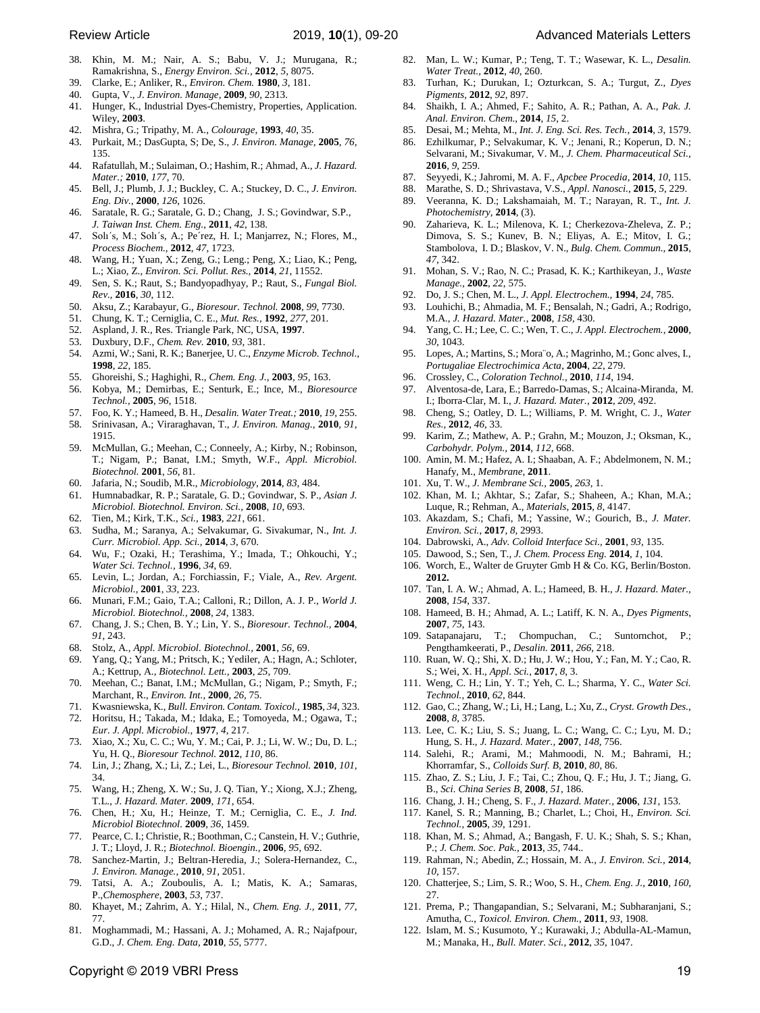- 38. Khin, M. M.; Nair, A. S.; Babu, V. J.; Murugana, R.; Ramakrishna, S., *Energy Environ. Sci.*, **2012**, *5*, 8075.
- 39. Clarke, E.; Anliker, R., *Environ. Chem.* **1980**, *3*, 181.
- 40. Gupta, V., *J. Environ. Manage,* **2009**, *90*, 2313.
- 41. Hunger, K., Industrial Dyes-Chemistry, Properties, Application. Wiley, **2003**.
- 42. Mishra, G.; Tripathy, M. A., *Colourage,* **1993**, *40*, 35.
- 43. Purkait, M.; DasGupta, S; De, S., *J. Environ. Manage,* **2005**, *76*, 135.
- 44. Rafatullah, [M.;](http://xueshu.baidu.com/s?wd=author:(Mohd.%20Rafatullah)%20Division%20of%20Bioresource,%20Paper%20and%20Coatings%20Technology,%20School%20of%20Industrial%20Technology,%20Universiti%20Sains%20Malaysia,%2011800%20Penang,%20Malaysia&tn=SE_baiduxueshu_c1gjeupa&ie=utf-8&sc_f_para=sc_hilight=person) Sulaiman, [O.;](http://xueshu.baidu.com/s?wd=author:(Othman%20Sulaiman)%20Division%20of%20Bioresource,%20Paper%20and%20Coatings%20Technology,%20School%20of%20Industrial%20Technology,%20Universiti%20Sains%20Malaysia,%2011800%20Penang,%20Malaysia&tn=SE_baiduxueshu_c1gjeupa&ie=utf-8&sc_f_para=sc_hilight=person) Hashim, [R.;](http://xueshu.baidu.com/s?wd=author:(Rokiah%20Hashim)%20Division%20of%20Bioresource,%20Paper%20and%20Coatings%20Technology,%20School%20of%20Industrial%20Technology,%20Universiti%20Sains%20Malaysia,%2011800%20Penang,%20Malaysia&tn=SE_baiduxueshu_c1gjeupa&ie=utf-8&sc_f_para=sc_hilight=person) Ahmad, [A.,](http://xueshu.baidu.com/s?wd=author:(Anees%20Ahmad)%20Division%20of%20Environmental%20Technology,%20School%20of%20Industrial%20Technology,%20Universiti%20Sains%20Malaysia,%2011800%20Penang,%20Malaysia&tn=SE_baiduxueshu_c1gjeupa&ie=utf-8&sc_f_para=sc_hilight=person) *J. Hazard. Mater.;* **2010**, *177*, 70.
- 45. Bell, J.; Plumb, J. J.; Buckley, C. A.; Stuckey, D. C., *J. Environ. Eng. Div.,* **2000**, *126*, 1026.
- 46. Saratale, R. G.; Saratale, G. D.; Chang, J. S.; Govindwar, S.P., *J. Taiwan Inst. Chem. Eng.,* **2011**, *42*, 138.
- 47. Solı´s, M.; Solı´s, A.; Pe´rez, H. I.; Manjarrez, N.; Flores, M., *Process Biochem.,* **2012**, *47*, 1723.
- 48. Wang, H.; Yuan, X.; Zeng, G.; Leng.; Peng, X.; Liao, K.; Peng, L.; Xiao, Z., *Environ. Sci. Pollut. Res.,* **2014**, *21*, 11552.
- 49. Sen, S. K.; Raut, S.; Bandyopadhyay, P.; Raut, S., *Fungal Biol. Rev.,* **2016**, *30*, 112.
- 50. Aksu, Z.; Karabayur, G., *Bioresour. Technol.* **2008**, *99*, 7730.
- 51. Chung, K. T.; Cerniglia, C. E., *Mut. Res.,* **1992**, *277*, 201.
- 52. Aspland, J. R., Res. Triangle Park, NC, USA, **1997**.
- 53. Duxbury, D.F., *Chem. Rev.* **2010**, *93*, 381.
- 54. Azmi, W.; Sani, R. K.; Banerjee, U. C., *Enzyme Microb. Technol.,*  **1998**, *22*, 185.
- 55. Ghoreishi, S.; Haghighi, R., *Chem. Eng. J.,* **2003**, *95*, 163.
- 56. Kobya, M.; Demirbas, E.; Senturk, E.; Ince, M., *Bioresource Technol.,* **2005**, *96*, 1518.
- 57. Foo, K. Y.; Hameed, B. H., *Desalin. Water Treat.;* **2010**, *19*, 255.
- 58. Srinivasan, A.; Viraraghavan, T., *J. Environ. Manag.,* **2010**, *91*, 1915.
- 59. McMullan, G.; Meehan, C.; Conneely, A.; Kirby, N.; Robinson, T.; Nigam, P.; Banat, I.M.; Smyth, W.F., *Appl. Microbiol. Biotechnol.* **2001**, *56*, 81.
- 60. Jafaria, N.; Soudib, M.R., *Microbiology*, **2014**, *83*, 484.
- 61. Humnabadkar, R. P.; Saratale, G. D.; Govindwar, S. P., *Asian J. Microbiol. Biotechnol. Environ. Sci.,* **2008**, *10*, 693.
- 62. Tien, M.; Kirk, T.K., *Sci.,* **1983**, *221*, 661.
- 63. Sudha, M.; Saranya, A.; Selvakumar, G. Sivakumar, N., *Int. J. Curr. Microbiol. App. Sci.,* **2014**, *3*, 670.
- 64. Wu, F.; Ozaki, H.; Terashima, Y.; Imada, T.; Ohkouchi, Y.; *Water Sci. Technol.,* **1996**, *34*, 69.
- 65. Levin, L.; Jordan, A.; Forchiassin, F.; Viale, A., *Rev. Argent. Microbiol.,* **2001**, *33*, 223.
- 66. Munari, F.M.; Gaio, T.A.; Calloni, R.; Dillon, A. J. P., *World J. Microbiol. Biotechnol.,* **2008**, *24*, 1383.
- 67. Chang, J. S.; Chen, B. Y.; Lin, Y. S., *Bioresour. Technol.,* **2004**, *91*, 243.
- 68. Stolz, A., *Appl. Microbiol. Biotechnol.,* **2001**, *56*, 69.
- 69. Yang, Q.; Yang, M.; Pritsch, K.; Yediler, A.; Hagn, A.; Schloter, A.; Kettrup, A., *Biotechnol. Lett.,* **2003**, *25*, 709.
- 70. Meehan, C.; Banat, I.M.; McMullan, G.; Nigam, P.; Smyth, F.; Marchant, R., *Environ. Int.,* **2000**, *26*, 75.
- 71. Kwasniewska, K., *Bull. Environ. Contam. Toxicol.,* **1985**, *34*, 323.
- 72. Horitsu, H.; Takada, M.; Idaka, E.; Tomoyeda, M.; Ogawa, T.; *Eur. J. Appl. Microbiol.,* **1977**, *4*, 217.
- 73. Xiao, X.; Xu, C. C.; Wu, Y. M.; Cai, P. J.; Li, W. W.; Du, D. L.; Yu, H. Q., *Bioresour Technol.* **2012**, *110*, 86.
- 74. Lin, J.; Zhang, X.; Li, Z.; Lei, L., *Bioresour Technol.* **2010**, *101*, 34.
- 75. Wang, H.; Zheng, X. W.; Su, J. Q. Tian, Y.; Xiong, X.J.; Zheng, T.L., *J. Hazard. Mater.* **2009**, *171*, 654.
- 76. Chen, H.; Xu, H.; Heinze, T. M.; Cerniglia, C. E., *J. Ind. Microbiol Biotechnol.* **2009**, *36*, 1459.
- 77. Pearce, C. I.; Christie, R.; Boothman, C.; Canstein, H. V.; Guthrie, J. T.; Lloyd, J. R.; *Biotechnol. Bioengin.,* **2006**, *95*, 692.
- 78. Sanchez-Martin, J.; Beltran-Heredia, J.; Solera-Hernandez, C., *J. Environ. Manage.,* **2010**, *91*, 2051.
- 79. Tatsi, A. A.; Zouboulis, A. I.; Matis, K. A.; Samaras, P.,*Chemosphere*, **2003**, *53*, 737.
- 80. Khayet, M.; Zahrim, A. Y.; Hilal, N., *Chem. Eng. J.,* **2011**, *77*, 77.
- 81. Moghammadi, M.; Hassani, A. J.; Mohamed, A. R.; Najafpour, G.D., *J. Chem. Eng. Data,* **2010**, *55*, 5777.
- 82. Man, L. W.; Kumar, P.; Teng, T. T.; Wasewar, K. L., *Desalin. Water Treat.,* **2012**, *40*, 260.
- 83. Turhan, K.; Durukan, I.; Ozturkcan, S. A.; Turgut, Z., *Dyes Pigments,* **2012**, *92*, 897.
- 84. Shaikh, I. A.; Ahmed, F.; Sahito, A. R.; Pathan, A. A., *Pak. J. Anal. Environ. Chem.,* **2014**, *15*, 2.
- 85. Desai, M.; Mehta, M., *Int. J. Eng. Sci. Res. Tech.*, **2014**, *3*, 1579.
- 86. Ezhilkumar, P.; Selvakumar, K. V.; Jenani, R.; Koperun, D. N.; Selvarani, M.; Sivakumar, V. M., *J. Chem. Pharmaceutical Sci.,* **2016**, *9*, 259.
- 87. Seyyedi, K.; Jahromi, M. A. F., *Apcbee Procedia*, **2014**, *10*, 115.
- 88. Marathe, S. D.; Shrivastava, V.S., *Appl. Nanosci.,* **2015**, *5*, 229.
- 89. Veeranna, K. D.; Lakshamaiah, M. T.; Narayan, R. T., *Int. J. Photochemistry,* **2014**, (3).
- 90. Zaharieva, K. L.; Milenova, K. I.; Cherkezova-Zheleva, Z. P.; Dimova, S. S.; Kunev, B. N.; Eliyas, A. E.; Mitov, I. G.; Stambolova, I. D.; Blaskov, V. N., *Bulg. Chem. Commun.,* **2015**, *47*, 342.
- 91. Mohan, S. V.; Rao, N. C.; Prasad, K. K.; Karthikeyan, J., *Waste Manage.,* **2002**, *22*, 575.
- 92. Do, J. S.; Chen, M. L., *J. Appl. Electrochem.,* **1994**, *24*, 785.
- 93. Louhichi, B.; Ahmadia, M. F.; Bensalah, N.; Gadri, A.; Rodrigo, M.A., *J. Hazard. Mater.*, **2008**, *158*, 430.
- 94. Yang, C. H.; Lee, C. C.; Wen, T. C., *J. Appl. Electrochem.*, **2000**, *30*, 1043.
- 95. Lopes, A.; Martins, S.; Mora¨o, A.; Magrinho, M.; Gonc alves, I., *Portugaliae Electrochimica Acta*, **2004**, *22*, 279.
- 96. Crossley, C., *[Coloration Technol.,](http://xueshu.baidu.com/usercenter/data/journal?cmd=jump&wd=journaluri:(c09107ed7bf61568)%20%E3%80%8AColoration%20Technology%E3%80%8B&tn=SE_baiduxueshu_c1gjeupa&ie=utf-8&sc_f_para=sc_hilight=publish&sort=sc_cited)* **2010**, *114*, 194.
- 97. Alventosa-de, Lara, E.; Barredo-Damas, S.; Alcaina-Miranda, M. I.; Iborra-Clar, M. I., *J. Hazard. Mater.*, **2012**, *209*, 492.
- 98. Cheng, S.; Oatley, D. L.; Williams, P. M. Wright, C. J., *Water Res.*, **2012**, *46*, 33.
- 99. Karim, Z.; Mathew, A. P.; Grahn, M.; Mouzon, J.; Oksman, K., *Carbohydr. Polym.,* **2014**, *112*, 668.
- 100. Amin, M. M.; Hafez, A. I.; Shaaban, A. F.; Abdelmonem, N. M.; Hanafy, M., *Membrane*, **2011**.
- 101. Xu, T. W., *J. Membrane Sci.,* **2005**, *263*, 1.
- 102. Khan, M. I.; Akhtar, S.; Zafar, S.; Shaheen, A.; Khan, M.A.; Luque, R.; Rehman, A., *Materials*, **2015**, *8*, 4147.
- 103. Akazdam, S.; Chafi, M.; Yassine, W.; Gourich, B., *J. Mater. Environ. Sci.*, **2017**, *8*, 2993.
- 104. Dabrowski, A., *Adv. Colloid Interface Sci.,* **2001**, *93*, 135.
- 105. Dawood, S.; Sen, T., *J. Chem. Process Eng.* **2014**, *1*, 104.
- 106. Worch, E., Walter de Gruyter Gmb H & Co. KG, Berlin/Boston. **2012.**
- 107. Tan, I. A. W.; Ahmad, A. L.; Hameed, B. H., *J. Hazard. Mater.,* **2008**, *154*, 337.
- 108. Hameed, B. H.; Ahmad, A. L.; Latiff, K. N. A., *Dyes Pigments*, **2007**, *75*, 143.
- 109. Satapanajaru, T.; Chompuchan, C.; Suntornchot, P.; Pengthamkeerati, P., *Desalin.* **2011**, *266*, 218.
- 110. Ruan, W. Q.; Shi, X. D.; Hu, J. W.; Hou, Y.; Fan, M. Y.; Cao, R. S.; Wei, X. H., *Appl. Sci.,* **2017**, *8*, 3.
- 111. Weng, C. H.; Lin, Y. T.; Yeh, C. L.; Sharma, Y. C., *Water Sci. Technol.,* **2010**, *62*, 844.
- 112. Gao, C.; Zhang, W.; Li, H.; Lang, L.; Xu, Z., *Cryst. Growth Des.,* **2008**, *8*, 3785.
- 113. Lee, C. K.; Liu, S. S.; Juang, L. C.; Wang, C. C.; Lyu, M. D.; Hung, S. H., *J. Hazard. Mater.,* **2007**, *148*, 756.
- 114. Salehi, R.; Arami, M.; Mahmoodi, N. M.; Bahrami, H.; Khorramfar, S., *Colloids Surf. B,* **2010**, *80*, 86.
- 115. Zhao, Z. S.; Liu, J. F.; Tai, C.; Zhou, Q. F.; Hu, J. T.; Jiang, G. B., *Sci. China Series B,* **2008**, *51*, 186.
- 116. Chang, J. H.; Cheng, S. F., *J. Hazard. Mater.,* **2006**, *131*, 153.
- 117. Kanel, S. R.; Manning, B.; Charlet, L.; Choi, H., *Environ. Sci. Technol.,* **2005**, *39*, 1291.
- 118. Khan, M. S.; Ahmad, A.; Bangash, F. U. K.; Shah, S. S.; Khan, P.; *J. Chem. Soc. Pak.,* **2013**, *35*, 744..
- 119. Rahman, N.; Abedin, Z.; Hossain, M. A., *J. Environ. Sci.,* **2014**, *10*, 157.
- 120. Chatterjee, S.; Lim, S. R.; Woo, S. H., *Chem. Eng. J.,* **2010**, *160*, 27.
- 121. Prema, P.; Thangapandian, S.; Selvarani, M.; Subharanjani, S.; Amutha, C., *Toxicol. Environ. Chem.,* **2011**, *93*, 1908.
- 122. Islam, M. S.; Kusumoto, Y.; Kurawaki, J.; Abdulla-AL-Mamun, M.; Manaka, H., *Bull. Mater. Sci.,* **2012**, *35*, 1047.